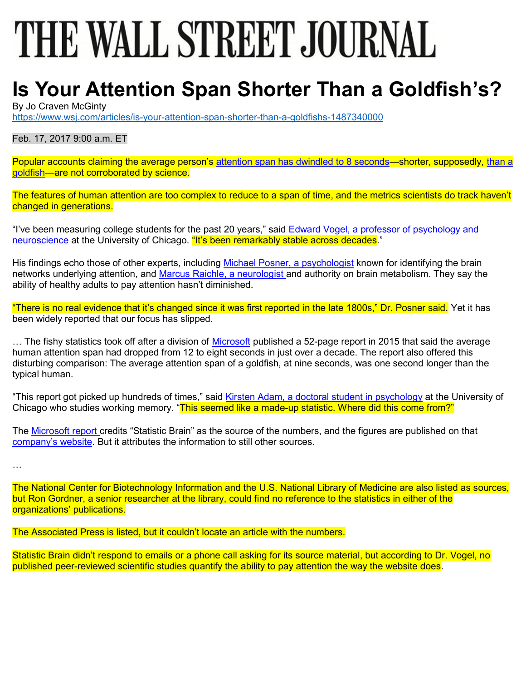# THE WALL STREET JOURNAL

### **Is Your Attention Span Shorter Than a Goldfish's?**

By Jo Craven McGinty

https://www.wsj.com/articles/is-your-attention-span-shorter-than-a-goldfishs-1487340000

Feb. 17, 2017 9:00 a.m. ET

Popular accounts claiming the average person's attention span has dwindled to 8 seconds—shorter, supposedly, than a goldfish—are not corroborated by science.

The features of human attention are too complex to reduce to a span of time, and the metrics scientists do track haven't changed in generations.

"I've been measuring college students for the past 20 years," said **Edward Vogel**, a professor of psychology and neuroscience at the University of Chicago. "It's been remarkably stable across decades."

His findings echo those of other experts, including Michael Posner, a psychologist known for identifying the brain networks underlying attention, and Marcus Raichle, a neurologist and authority on brain metabolism. They say the ability of healthy adults to pay attention hasn't diminished.

"There is no real evidence that it's changed since it was first reported in the late 1800s," Dr. Posner said. Yet it has been widely reported that our focus has slipped.

... The fishy statistics took off after a division of Microsoft published a 52-page report in 2015 that said the average human attention span had dropped from 12 to eight seconds in just over a decade. The report also offered this disturbing comparison: The average attention span of a goldfish, at nine seconds, was one second longer than the typical human.

"This report got picked up hundreds of times," said Kirsten Adam, a doctoral student in psychology at the University of Chicago who studies working memory. "This seemed like a made-up statistic. Where did this come from?"

The Microsoft report credits "Statistic Brain" as the source of the numbers, and the figures are published on that company's website. But it attributes the information to still other sources.

…

The National Center for Biotechnology Information and the U.S. National Library of Medicine are also listed as sources, but Ron Gordner, a senior researcher at the library, could find no reference to the statistics in either of the organizations' publications.

The Associated Press is listed, but it couldn't locate an article with the numbers.

Statistic Brain didn't respond to emails or a phone call asking for its source material, but according to Dr. Vogel, no published peer-reviewed scientific studies quantify the ability to pay attention the way the website does.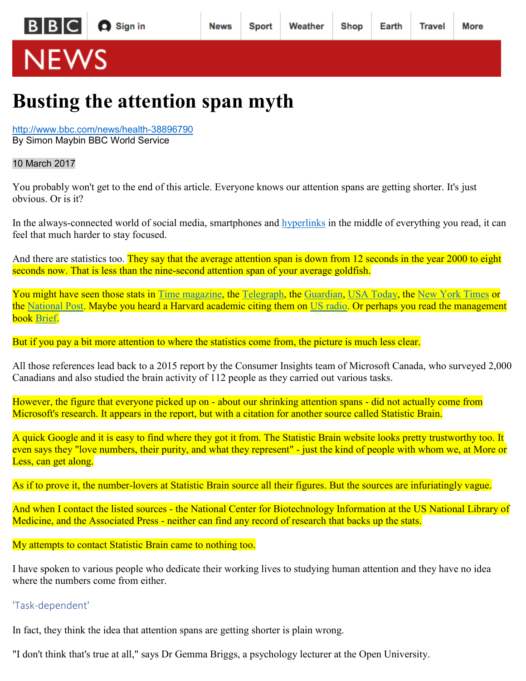Shop

## **NEWS**

## **Busting the attention span myth**

http://www.bbc.com/news/health-38896790 By Simon Maybin BBC World Service

#### 10 March 2017

You probably won't get to the end of this article. Everyone knows our attention spans are getting shorter. It's just obvious. Or is it?

In the always-connected world of social media, smartphones and **hyperlinks** in the middle of everything you read, it can feel that much harder to stay focused.

And there are statistics too. They say that the average attention span is down from 12 seconds in the year 2000 to eight seconds now. That is less than the nine-second attention span of your average goldfish.

You might have seen those stats in Time magazine, the Telegraph, the Guardian, USA Today, the New York Times or the National Post. Maybe you heard a Harvard academic citing them on US radio. Or perhaps you read the management book Brief.

But if you pay a bit more attention to where the statistics come from, the picture is much less clear.

All those references lead back to a 2015 report by the Consumer Insights team of Microsoft Canada, who surveyed 2,000 Canadians and also studied the brain activity of 112 people as they carried out various tasks.

However, the figure that everyone picked up on - about our shrinking attention spans - did not actually come from Microsoft's research. It appears in the report, but with a citation for another source called Statistic Brain.

A quick Google and it is easy to find where they got it from. The Statistic Brain website looks pretty trustworthy too. It even says they "love numbers, their purity, and what they represent" - just the kind of people with whom we, at More or Less, can get along.

As if to prove it, the number-lovers at Statistic Brain source all their figures. But the sources are infuriatingly vague.

And when I contact the listed sources - the National Center for Biotechnology Information at the US National Library of Medicine, and the Associated Press - neither can find any record of research that backs up the stats.

My attempts to contact Statistic Brain came to nothing too.

I have spoken to various people who dedicate their working lives to studying human attention and they have no idea where the numbers come from either.

#### 'Task-dependent'

In fact, they think the idea that attention spans are getting shorter is plain wrong.

"I don't think that's true at all," says Dr Gemma Briggs, a psychology lecturer at the Open University.